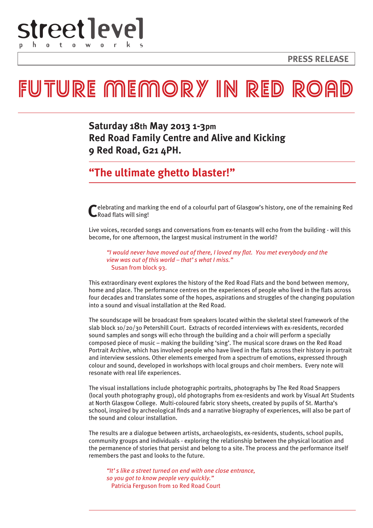

# FUTURE MEMORY IN RED ROA

### **Saturday 18th May 2013 1-3pm Red Road Family Centre and Alive and Kicking 9 Red Road, G21 4PH.**

## **"The ultimate ghetto blaster!"**

**C**elebrating and marking the end of a colourful part of Glasgow's history, one of the remaining Red Road flats will sing!

Live voices, recorded songs and conversations from ex-tenants will echo from the building - will this become, for one afternoon, the largest musical instrument in the world?

*"I would never have moved out of there, I loved my flat. You met everybody and the view was out of this world – that's what I miss."* Susan from block 93.

This extraordinary event explores the history of the Red Road Flats and the bond between memory, home and place. The performance centres on the experiences of people who lived in the flats across four decades and translates some of the hopes, aspirations and struggles of the changing population into a sound and visual installation at the Red Road.

The soundscape will be broadcast from speakers located within the skeletal steel framework of the slab block 10/20/30 Petershill Court. Extracts of recorded interviews with ex-residents, recorded sound samples and songs will echo through the building and a choir will perform a specially composed piece of music – making the building 'sing'. The musical score draws on the Red Road Portrait Archive, which has involved people who have lived in the flats across their history in portrait and interview sessions. Other elements emerged from a spectrum of emotions, expressed through colour and sound, developed in workshops with local groups and choir members. Every note will resonate with real life experiences.

The visual installations include photographic portraits, photographs by The Red Road Snappers (local youth photography group), old photographs from ex-residents and work by Visual Art Students at North Glasgow College. Multi-coloured fabric story sheets, created by pupils of St. Martha's school, inspired by archeological finds and a narrative biography of experiences, will also be part of the sound and colour installation.

The results are a dialogue between artists, archaeologists, ex-residents, students, school pupils, community groups and individuals - exploring the relationship between the physical location and the permanence of stories that persist and belong to a site. The process and the performance itself remembers the past and looks to the future.

*"It's like a street turned on end with one close entrance, so you got to know people very quickly."* Patricia Ferguson from 10 Red Road Court